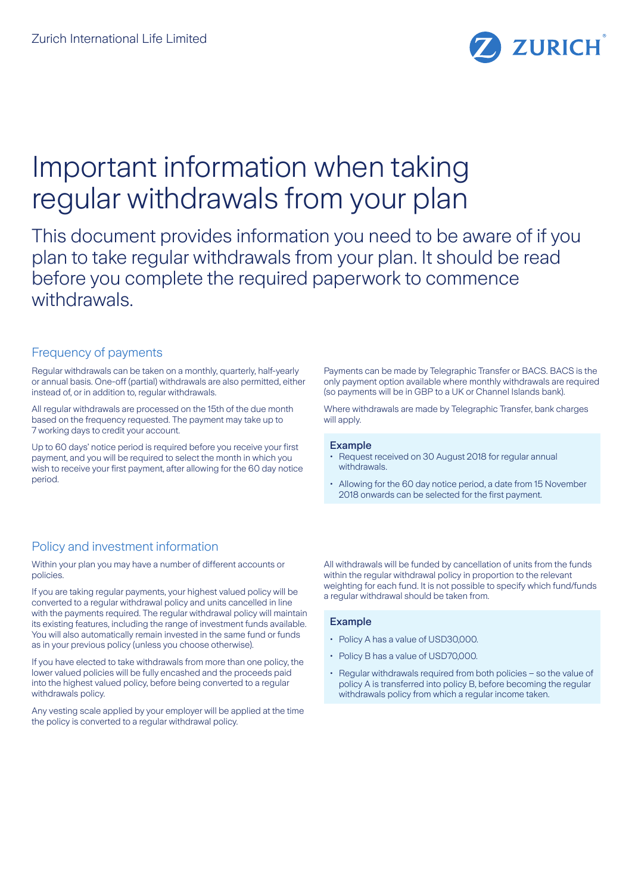

# Important information when taking regular withdrawals from your plan

This document provides information you need to be aware of if you plan to take regular withdrawals from your plan. It should be read before you complete the required paperwork to commence withdrawals

## Frequency of payments

Regular withdrawals can be taken on a monthly, quarterly, half-yearly or annual basis. One-off (partial) withdrawals are also permitted, either instead of, or in addition to, regular withdrawals.

All regular withdrawals are processed on the 15th of the due month based on the frequency requested. The payment may take up to 7 working days to credit your account.

Up to 60 days' notice period is required before you receive your first payment, and you will be required to select the month in which you wish to receive your first payment, after allowing for the 60 day notice period.

Payments can be made by Telegraphic Transfer or BACS. BACS is the only payment option available where monthly withdrawals are required (so payments will be in GBP to a UK or Channel Islands bank).

Where withdrawals are made by Telegraphic Transfer, bank charges will apply.

#### Example

- Request received on 30 August 2018 for regular annual withdrawals.
- Allowing for the 60 day notice period, a date from 15 November 2018 onwards can be selected for the first payment.

## Policy and investment information

Within your plan you may have a number of different accounts or policies.

If you are taking regular payments, your highest valued policy will be converted to a regular withdrawal policy and units cancelled in line with the payments required. The regular withdrawal policy will maintain its existing features, including the range of investment funds available. You will also automatically remain invested in the same fund or funds as in your previous policy (unless you choose otherwise).

If you have elected to take withdrawals from more than one policy, the lower valued policies will be fully encashed and the proceeds paid into the highest valued policy, before being converted to a regular withdrawals policy.

Any vesting scale applied by your employer will be applied at the time the policy is converted to a regular withdrawal policy.

All withdrawals will be funded by cancellation of units from the funds within the regular withdrawal policy in proportion to the relevant weighting for each fund. It is not possible to specify which fund/funds a regular withdrawal should be taken from.

#### Example

- Policy A has a value of USD30,000.
- Policy B has a value of USD70,000.
- Regular withdrawals required from both policies so the value of policy A is transferred into policy B, before becoming the regular withdrawals policy from which a regular income taken.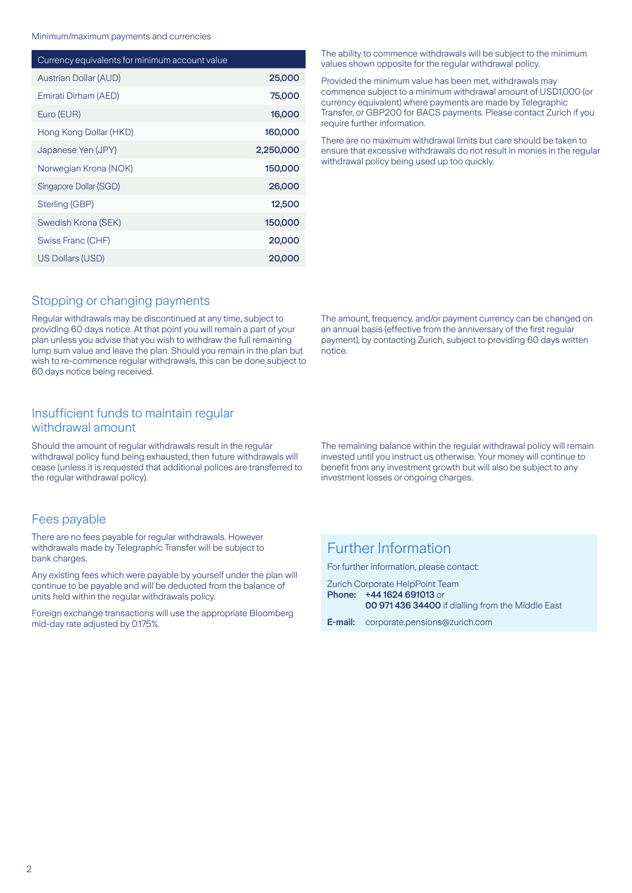Minimum/maximum payments and currencies

| Currency equivalents for minimum account value |           |
|------------------------------------------------|-----------|
| <b>Austrian Dollar (AUD)</b>                   | 25,000    |
| Emirati Dirham (AED)                           | 75,000    |
| Euro (EUR)                                     | 16,000    |
| Hong Kong Dollar (HKD)                         | 160,000   |
| Japanese Yen (JPY)                             | 2,250,000 |
| Norwegian Krona (NOK)                          | 150,000   |
| Singapore Dollar (SGD)                         | 26,000    |
| Sterling (GBP)                                 | 12,500    |
| Swedish Krona (SEK)                            | 150,000   |
| Swiss Franc (CHF)                              | 20,000    |
| US Dollars (USD)                               | 20,000    |

### Stopping or changing payments

Regular withdrawals may be discontinued at any time, subject to providing 60 days notice. At that point you will remain a part of your plan unless you advise that you wish to withdraw the full remaining lump sum value and leave the plan. Should you remain in the plan but wish to re-commence regular withdrawals, this can be done subject to 60 days notice being received.

### Insufficient funds to maintain regular withdrawal amount

Should the amount of regular withdrawals result in the regular withdrawal policy fund being exhausted, then future withdrawals will cease (unless it is requested that additional polices are transferred to the regular withdrawal policy).

#### Fees payable

There are no fees payable for regular withdrawals. However withdrawals made by Telegraphic Transfer will be subject to bank charges.

Any existing fees which were payable by yourself under the plan will continue to be payable and will be deducted from the balance of units held within the regular withdrawals policy.

Foreign exchange transactions will use the appropriate Bloomberg mid-day rate adjusted by 0.175%.

The ability to commence withdrawals will be subject to the minimum values shown opposite for the regular withdrawal policy.

Provided the minimum value has been met, withdrawals may commence subject to a minimum withdrawal amount of USD1,000 (or currency equivalent) where payments are made by Telegraphic Transfer, or GBP200 for BACS payments. Please contact Zurich if you require further information.

There are no maximum withdrawal limits but care should be taken to ensure that excessive withdrawals do not result in monies in the regular withdrawal policy being used up too quickly.

The amount, frequency, and/or payment currency can be changed on an annual basis (effective from the anniversary of the first regular payment), by contacting Zurich, subject to providing 60 days written notice.

The remaining balance within the regular withdrawal policy will remain invested until you instruct us otherwise. Your money will continue to benefit from any investment growth but will also be subject to any investment losses or ongoing charges.

# Further Information

For further information, please contact:

Zurich Corporate HelpPoint Team Phone: +44 1624 691013 or 00 971 436 34400 if dialling from the Middle East

E-mail: corporate.pensions@zurich.com